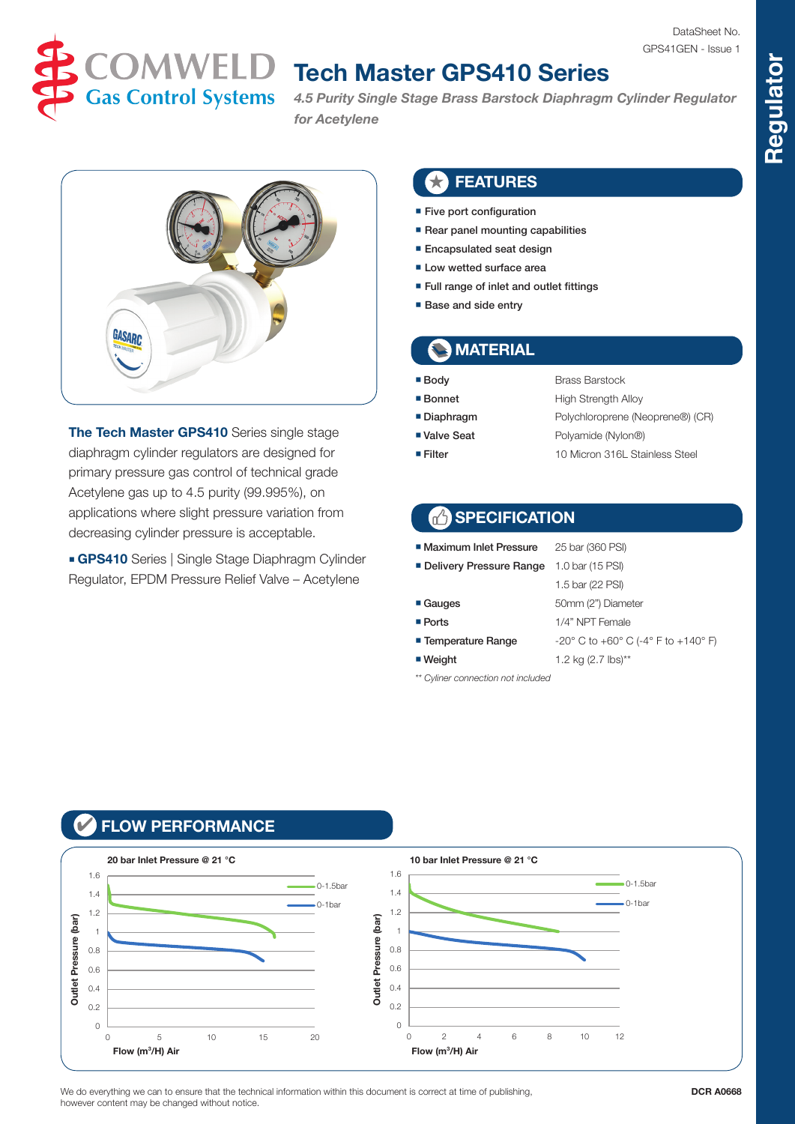

# **TOMWELD** Tech Master GPS410 Series

*4.5 Purity Single Stage Brass Barstock Diaphragm Cylinder Regulator for Acetylene*



**The Tech Master GPS410** Series single stage diaphragm cylinder regulators are designed for primary pressure gas control of technical grade Acetylene gas up to 4.5 purity (99.995%), on applications where slight pressure variation from decreasing cylinder pressure is acceptable.

**GPS410** Series | Single Stage Diaphragm Cylinder Regulator, EPDM Pressure Relief Valve – Acetylene

#### ★ FEATURES

- Five port configuration
- Rear panel mounting capabilities
- Encapsulated seat design
- Low wetted surface area
- Full range of inlet and outlet fittings
- Base and side entry

### **MATERIAL**

- Body Brass Barstock
	-
- 
- 
- Bonnet High Strength Alloy
- Diaphragm Polychloroprene (Neoprene®) (CR)
- Valve Seat Polyamide (Nylon®)

1.5 bar (22 PSI)

■ Filter 10 Micron 316L Stainless Steel

#### **SPECIFICATION**

- Maximum Inlet Pressure 25 bar (360 PSI)
- Delivery Pressure Range 1.0 bar (15 PSI)
	-
- Gauges 50mm (2") Diameter ■ Ports 1/4" NPT Female
- Temperature Range  $-20^\circ$  C to +60° C (-4° F to +140° F)
- $\blacksquare$  Weight 1.2 kg (2.7 lbs)\*\*
- *\*\* Cyliner connection not included*
- 

#### ✔ FLOW PERFORMANCE



We do everything we can to ensure that the technical information within this document is correct at time of publishing however content may be changed without notice.